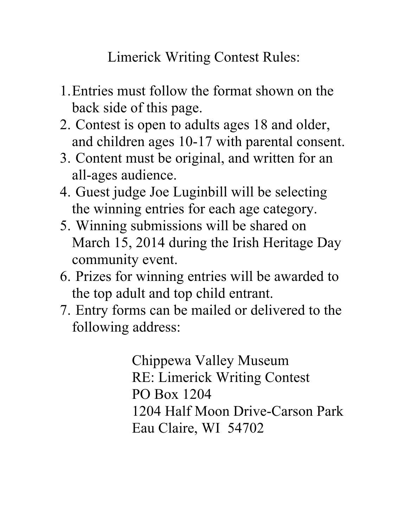Limerick Writing Contest Rules:

- 1.Entries must follow the format shown on the back side of this page.
- 2. Contest is open to adults ages 18 and older, and children ages 10-17 with parental consent.
- 3. Content must be original, and written for an all-ages audience.
- 4. Guest judge Joe Luginbill will be selecting the winning entries for each age category.
- 5. Winning submissions will be shared on March 15, 2014 during the Irish Heritage Day community event.
- 6. Prizes for winning entries will be awarded to the top adult and top child entrant.
- 7. Entry forms can be mailed or delivered to the following address:

Chippewa Valley Museum RE: Limerick Writing Contest PO Box 1204 1204 Half Moon Drive-Carson Park Eau Claire, WI 54702